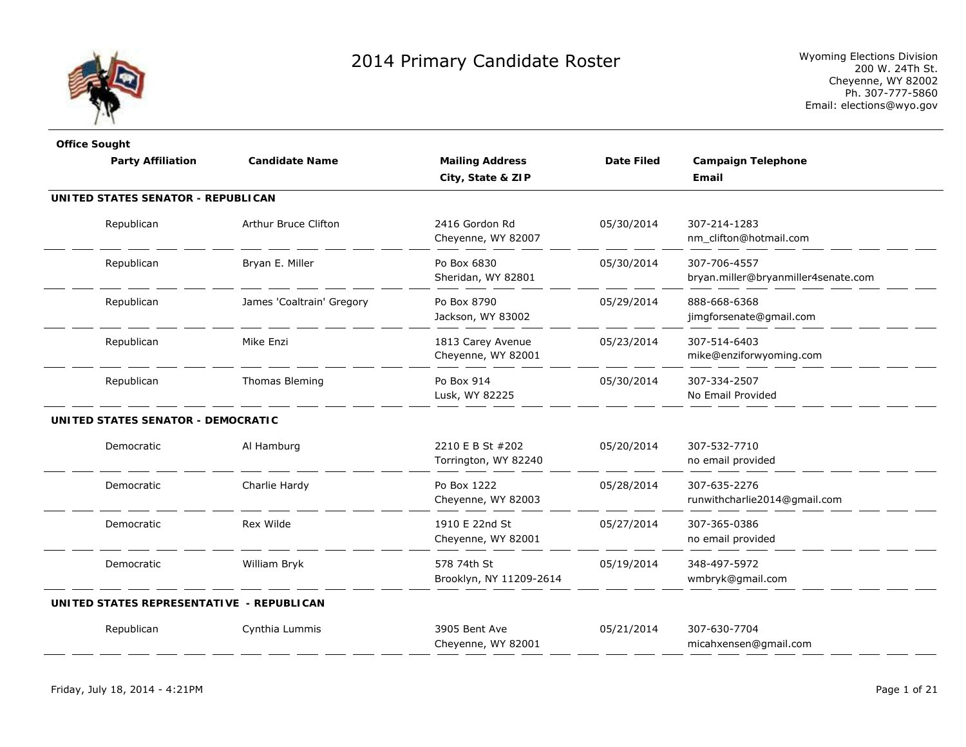

| <b>Office Sought</b>                      |                           |                                          |                   |                                                     |
|-------------------------------------------|---------------------------|------------------------------------------|-------------------|-----------------------------------------------------|
| <b>Party Affiliation</b>                  | <b>Candidate Name</b>     | <b>Mailing Address</b>                   | <b>Date Filed</b> | <b>Campaign Telephone</b>                           |
|                                           |                           | City, State & ZIP                        |                   | Email                                               |
| UNITED STATES SENATOR - REPUBLICAN        |                           |                                          |                   |                                                     |
| Republican                                | Arthur Bruce Clifton      | 2416 Gordon Rd<br>Cheyenne, WY 82007     | 05/30/2014        | 307-214-1283<br>nm_clifton@hotmail.com              |
| Republican                                | Bryan E. Miller           | Po Box 6830<br>Sheridan, WY 82801        | 05/30/2014        | 307-706-4557<br>bryan.miller@bryanmiller4senate.com |
| Republican                                | James 'Coaltrain' Gregory | Po Box 8790<br>Jackson, WY 83002         | 05/29/2014        | 888-668-6368<br>jimgforsenate@gmail.com             |
| Republican                                | Mike Enzi                 | 1813 Carey Avenue<br>Cheyenne, WY 82001  | 05/23/2014        | 307-514-6403<br>mike@enziforwyoming.com             |
| Republican                                | Thomas Bleming            | Po Box 914<br>Lusk, WY 82225             | 05/30/2014        | 307-334-2507<br>No Email Provided                   |
| UNITED STATES SENATOR - DEMOCRATIC        |                           |                                          |                   |                                                     |
| Democratic                                | Al Hamburg                | 2210 E B St #202<br>Torrington, WY 82240 | 05/20/2014        | 307-532-7710<br>no email provided                   |
| Democratic                                | Charlie Hardy             | Po Box 1222<br>Cheyenne, WY 82003        | 05/28/2014        | 307-635-2276<br>runwithcharlie2014@gmail.com        |
| Democratic                                | Rex Wilde                 | 1910 E 22nd St<br>Cheyenne, WY 82001     | 05/27/2014        | 307-365-0386<br>no email provided                   |
| Democratic                                | William Bryk              | 578 74th St<br>Brooklyn, NY 11209-2614   | 05/19/2014        | 348-497-5972<br>wmbryk@gmail.com                    |
| UNITED STATES REPRESENTATIVE - REPUBLICAN |                           |                                          |                   |                                                     |
| Republican                                | Cynthia Lummis            | 3905 Bent Ave<br>Cheyenne, WY 82001      | 05/21/2014        | 307-630-7704<br>micahxensen@gmail.com               |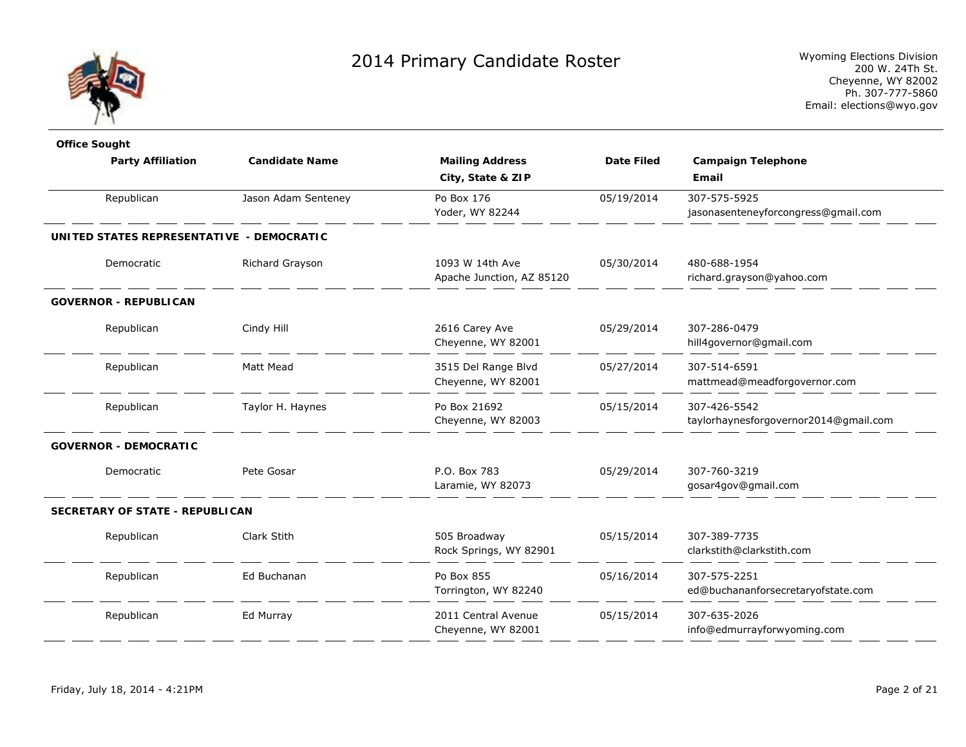

| jasonasenteneyforcongress@gmail.com   |
|---------------------------------------|
|                                       |
|                                       |
|                                       |
|                                       |
|                                       |
|                                       |
|                                       |
|                                       |
|                                       |
|                                       |
|                                       |
| mattmead@meadforgovernor.com          |
|                                       |
| taylorhaynesforgovernor2014@gmail.com |
|                                       |
|                                       |
|                                       |
|                                       |
|                                       |
|                                       |
|                                       |
| ed@buchananforsecretaryofstate.com    |
|                                       |
|                                       |
|                                       |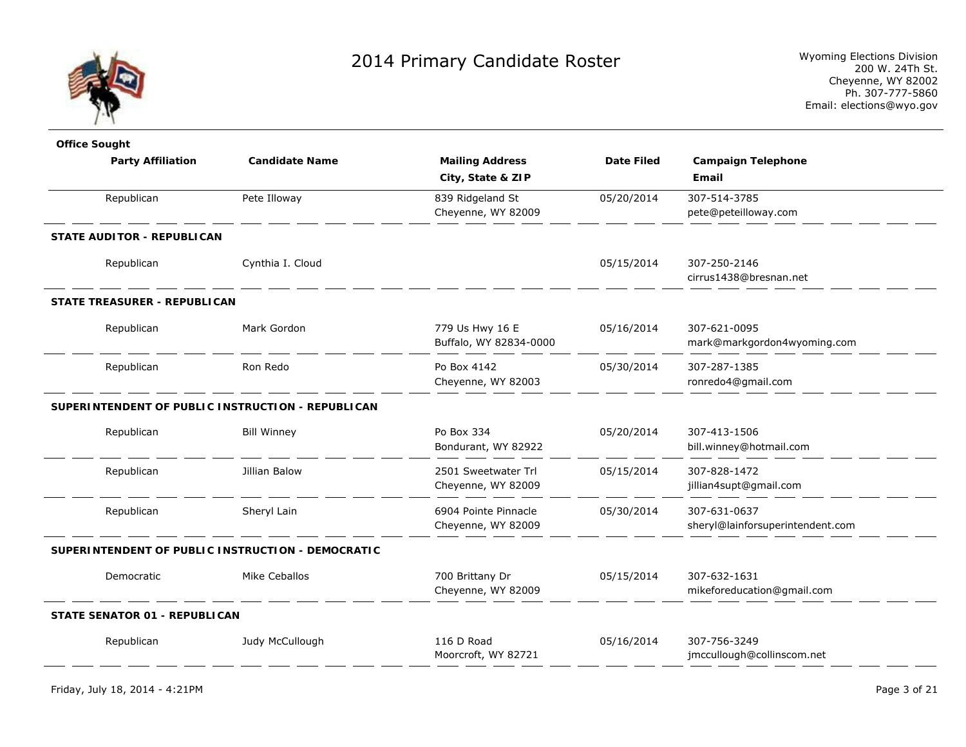

| <b>Office Sought</b>                              |                       |                        |                   |                                  |
|---------------------------------------------------|-----------------------|------------------------|-------------------|----------------------------------|
| <b>Party Affiliation</b>                          | <b>Candidate Name</b> | <b>Mailing Address</b> | <b>Date Filed</b> | <b>Campaign Telephone</b>        |
|                                                   |                       | City, State & ZIP      |                   | Email                            |
| Republican                                        | Pete Illoway          | 839 Ridgeland St       | 05/20/2014        | 307-514-3785                     |
|                                                   |                       | Cheyenne, WY 82009     |                   | pete@peteilloway.com             |
| STATE AUDITOR - REPUBLICAN                        |                       |                        |                   |                                  |
| Republican                                        | Cynthia I. Cloud      |                        | 05/15/2014        | 307-250-2146                     |
|                                                   |                       |                        |                   | cirrus1438@bresnan.net           |
| <b>STATE TREASURER - REPUBLICAN</b>               |                       |                        |                   |                                  |
| Republican                                        | Mark Gordon           | 779 Us Hwy 16 E        | 05/16/2014        | 307-621-0095                     |
|                                                   |                       | Buffalo, WY 82834-0000 |                   | mark@markgordon4wyoming.com      |
| Republican                                        | Ron Redo              | Po Box 4142            | 05/30/2014        | 307-287-1385                     |
|                                                   |                       | Cheyenne, WY 82003     |                   | ronredo4@gmail.com               |
| SUPERINTENDENT OF PUBLIC INSTRUCTION - REPUBLICAN |                       |                        |                   |                                  |
| Republican                                        | <b>Bill Winney</b>    | Po Box 334             | 05/20/2014        | 307-413-1506                     |
|                                                   |                       | Bondurant, WY 82922    |                   | bill.winney@hotmail.com          |
| Republican                                        | Jillian Balow         | 2501 Sweetwater Trl    | 05/15/2014        | 307-828-1472                     |
|                                                   |                       | Cheyenne, WY 82009     |                   | jillian4supt@gmail.com           |
| Republican                                        | Sheryl Lain           | 6904 Pointe Pinnacle   | 05/30/2014        | 307-631-0637                     |
|                                                   |                       | Cheyenne, WY 82009     |                   | sheryl@lainforsuperintendent.com |
| SUPERINTENDENT OF PUBLIC INSTRUCTION - DEMOCRATIC |                       |                        |                   |                                  |
| Democratic                                        | Mike Ceballos         | 700 Brittany Dr        | 05/15/2014        | 307-632-1631                     |
|                                                   |                       | Cheyenne, WY 82009     |                   | mikeforeducation@gmail.com       |
| <b>STATE SENATOR 01 - REPUBLICAN</b>              |                       |                        |                   |                                  |
| Republican                                        | Judy McCullough       | 116 D Road             | 05/16/2014        | 307-756-3249                     |
|                                                   |                       | Moorcroft, WY 82721    |                   | jmccullough@collinscom.net       |
|                                                   |                       |                        |                   |                                  |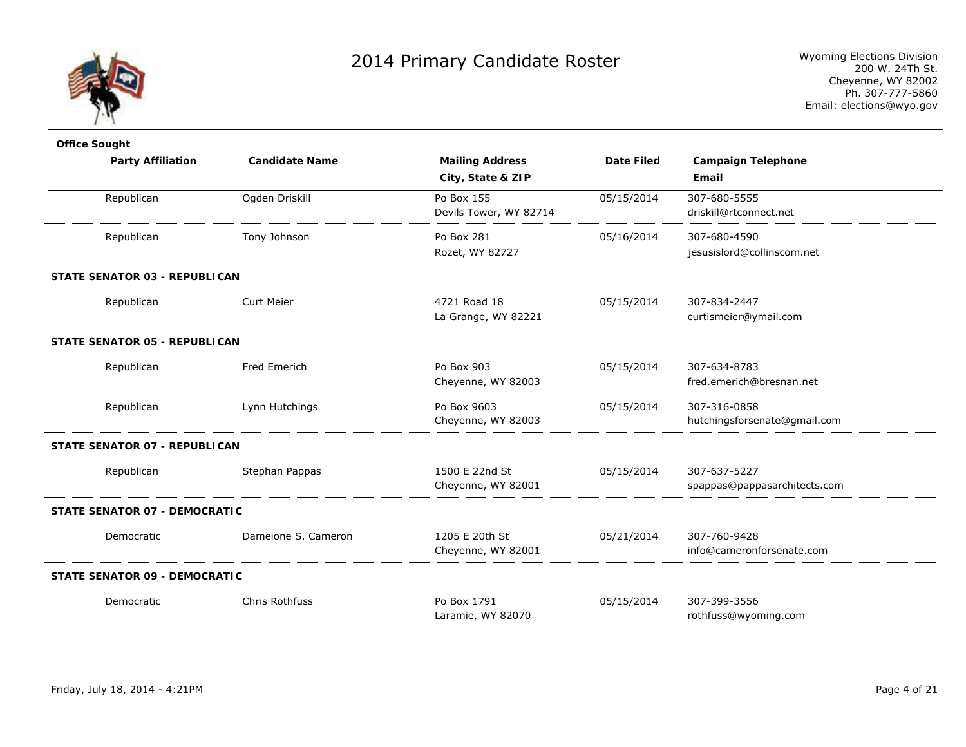

| <b>Office Sought</b>                 |                       |                                             |                   |                                              |
|--------------------------------------|-----------------------|---------------------------------------------|-------------------|----------------------------------------------|
| <b>Party Affiliation</b>             | <b>Candidate Name</b> | <b>Mailing Address</b><br>City, State & ZIP | <b>Date Filed</b> | <b>Campaign Telephone</b><br>Email           |
| Republican                           | Ogden Driskill        | Po Box 155<br>Devils Tower, WY 82714        | 05/15/2014        | 307-680-5555<br>driskill@rtconnect.net       |
| Republican                           | Tony Johnson          | Po Box 281<br>Rozet, WY 82727               | 05/16/2014        | 307-680-4590<br>jesusislord@collinscom.net   |
| STATE SENATOR 03 - REPUBLICAN        |                       |                                             |                   |                                              |
| Republican                           | <b>Curt Meier</b>     | 4721 Road 18<br>La Grange, WY 82221         | 05/15/2014        | 307-834-2447<br>curtismeier@ymail.com        |
| STATE SENATOR 05 - REPUBLICAN        |                       |                                             |                   |                                              |
| Republican                           | Fred Emerich          | Po Box 903<br>Cheyenne, WY 82003            | 05/15/2014        | 307-634-8783<br>fred.emerich@bresnan.net     |
| Republican                           | Lynn Hutchings        | Po Box 9603<br>Cheyenne, WY 82003           | 05/15/2014        | 307-316-0858<br>hutchingsforsenate@gmail.com |
| STATE SENATOR 07 - REPUBLICAN        |                       |                                             |                   |                                              |
| Republican                           | Stephan Pappas        | 1500 E 22nd St<br>Cheyenne, WY 82001        | 05/15/2014        | 307-637-5227<br>spappas@pappasarchitects.com |
| STATE SENATOR 07 - DEMOCRATIC        |                       |                                             |                   |                                              |
| Democratic                           | Dameione S. Cameron   | 1205 E 20th St<br>Cheyenne, WY 82001        | 05/21/2014        | 307-760-9428<br>info@cameronforsenate.com    |
| <b>STATE SENATOR 09 - DEMOCRATIC</b> |                       |                                             |                   |                                              |
| Democratic                           | Chris Rothfuss        | Po Box 1791<br>Laramie, WY 82070            | 05/15/2014        | 307-399-3556<br>rothfuss@wyoming.com         |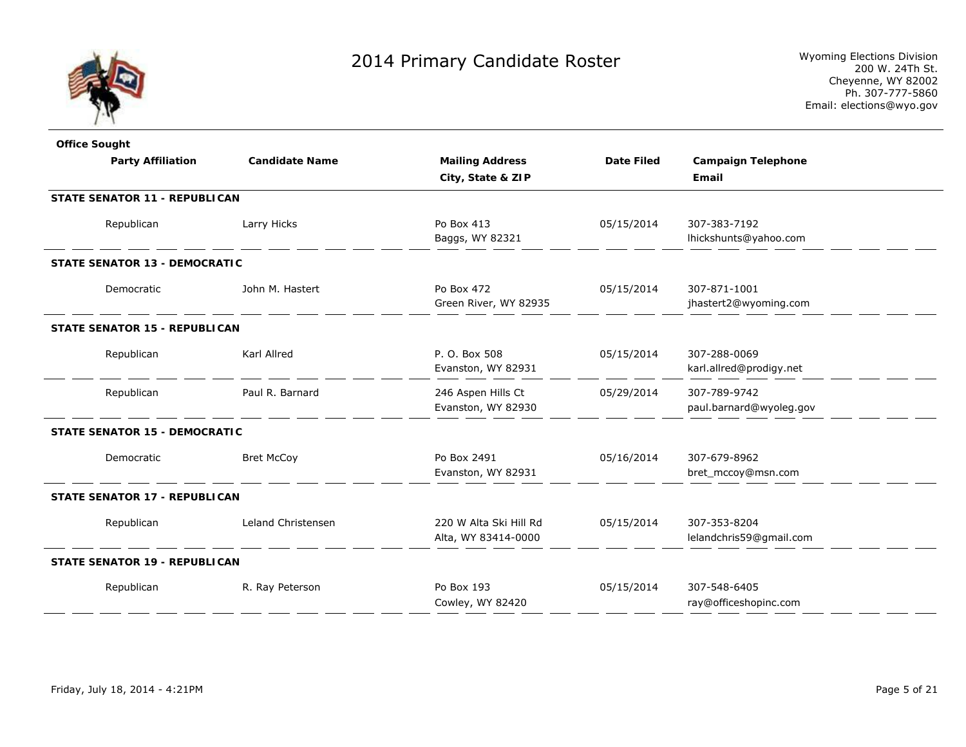

| <b>Office Sought</b>                 |                       |                                               |                   |                                         |  |
|--------------------------------------|-----------------------|-----------------------------------------------|-------------------|-----------------------------------------|--|
| <b>Party Affiliation</b>             | <b>Candidate Name</b> | <b>Mailing Address</b>                        | <b>Date Filed</b> | <b>Campaign Telephone</b>               |  |
|                                      |                       | City, State & ZIP                             |                   | Email                                   |  |
| STATE SENATOR 11 - REPUBLICAN        |                       |                                               |                   |                                         |  |
| Republican                           | Larry Hicks           | Po Box 413<br>Baggs, WY 82321                 | 05/15/2014        | 307-383-7192<br>lhickshunts@yahoo.com   |  |
| <b>STATE SENATOR 13 - DEMOCRATIC</b> |                       |                                               |                   |                                         |  |
| Democratic                           | John M. Hastert       | Po Box 472<br>Green River, WY 82935           | 05/15/2014        | 307-871-1001<br>jhastert2@wyoming.com   |  |
| STATE SENATOR 15 - REPUBLICAN        |                       |                                               |                   |                                         |  |
| Republican                           | Karl Allred           | P. O. Box 508<br>Evanston, WY 82931           | 05/15/2014        | 307-288-0069<br>karl.allred@prodigy.net |  |
| Republican                           | Paul R. Barnard       | 246 Aspen Hills Ct<br>Evanston, WY 82930      | 05/29/2014        | 307-789-9742<br>paul.barnard@wyoleg.gov |  |
| <b>STATE SENATOR 15 - DEMOCRATIC</b> |                       |                                               |                   |                                         |  |
| Democratic                           | <b>Bret McCoy</b>     | Po Box 2491<br>Evanston, WY 82931             | 05/16/2014        | 307-679-8962<br>bret_mccoy@msn.com      |  |
| STATE SENATOR 17 - REPUBLICAN        |                       |                                               |                   |                                         |  |
| Republican                           | Leland Christensen    | 220 W Alta Ski Hill Rd<br>Alta, WY 83414-0000 | 05/15/2014        | 307-353-8204<br>lelandchris59@gmail.com |  |
| <b>STATE SENATOR 19 - REPUBLICAN</b> |                       |                                               |                   |                                         |  |
| Republican                           | R. Ray Peterson       | Po Box 193<br>Cowley, WY 82420                | 05/15/2014        | 307-548-6405<br>ray@officeshopinc.com   |  |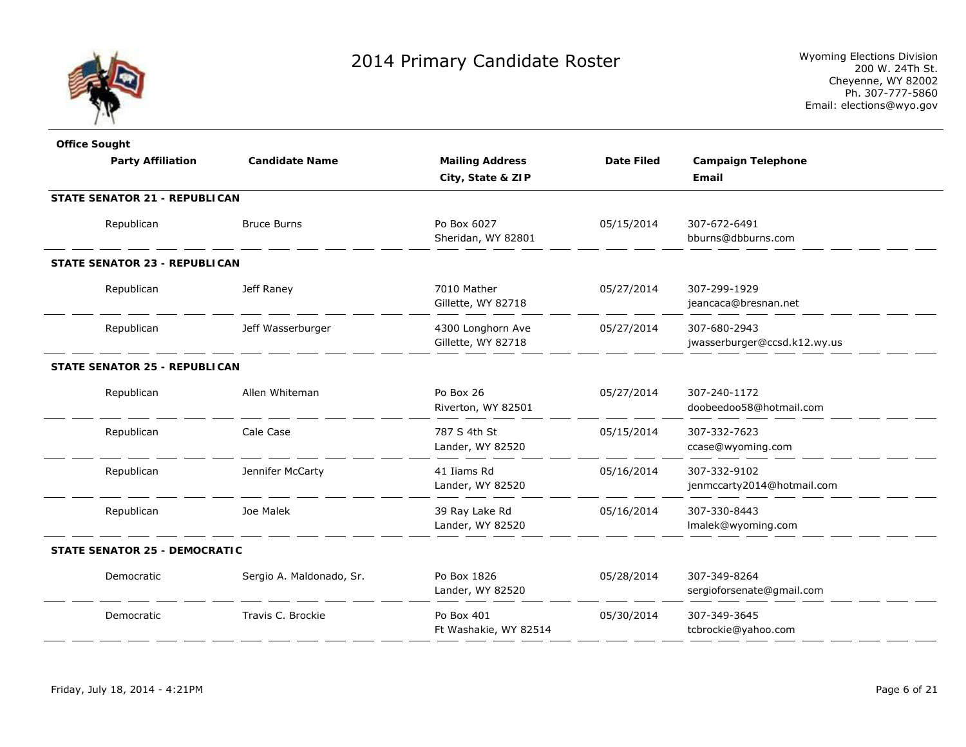

| <b>Office Sought</b>                 |                          |                        |                   |                              |
|--------------------------------------|--------------------------|------------------------|-------------------|------------------------------|
| <b>Party Affiliation</b>             | <b>Candidate Name</b>    | <b>Mailing Address</b> | <b>Date Filed</b> | <b>Campaign Telephone</b>    |
|                                      |                          | City, State & ZIP      |                   | Email                        |
| <b>STATE SENATOR 21 - REPUBLICAN</b> |                          |                        |                   |                              |
| Republican                           | <b>Bruce Burns</b>       | Po Box 6027            | 05/15/2014        | 307-672-6491                 |
|                                      |                          | Sheridan, WY 82801     |                   | bburns@dbburns.com           |
| <b>STATE SENATOR 23 - REPUBLICAN</b> |                          |                        |                   |                              |
| Republican                           | Jeff Raney               | 7010 Mather            | 05/27/2014        | 307-299-1929                 |
|                                      |                          | Gillette, WY 82718     |                   | jeancaca@bresnan.net         |
| Republican                           | Jeff Wasserburger        | 4300 Longhorn Ave      | 05/27/2014        | 307-680-2943                 |
|                                      |                          | Gillette, WY 82718     |                   | jwasserburger@ccsd.k12.wy.us |
| STATE SENATOR 25 - REPUBLICAN        |                          |                        |                   |                              |
| Republican                           | Allen Whiteman           | Po Box 26              | 05/27/2014        | 307-240-1172                 |
|                                      |                          | Riverton, WY 82501     |                   | doobeedoo58@hotmail.com      |
| Republican                           | Cale Case                | 787 S 4th St           | 05/15/2014        | 307-332-7623                 |
|                                      |                          | Lander, WY 82520       |                   | ccase@wyoming.com            |
| Republican                           | Jennifer McCarty         | 41 Iiams Rd            | 05/16/2014        | 307-332-9102                 |
|                                      |                          | Lander, WY 82520       |                   | jenmccarty2014@hotmail.com   |
| Republican                           | Joe Malek                | 39 Ray Lake Rd         | 05/16/2014        | 307-330-8443                 |
|                                      |                          | Lander, WY 82520       |                   | Imalek@wyoming.com           |
| STATE SENATOR 25 - DEMOCRATIC        |                          |                        |                   |                              |
| Democratic                           | Sergio A. Maldonado, Sr. | Po Box 1826            | 05/28/2014        | 307-349-8264                 |
|                                      |                          | Lander, WY 82520       |                   | sergioforsenate@gmail.com    |
| Democratic                           | Travis C. Brockie        | Po Box 401             | 05/30/2014        | 307-349-3645                 |
|                                      |                          | Ft Washakie, WY 82514  |                   | tcbrockie@yahoo.com          |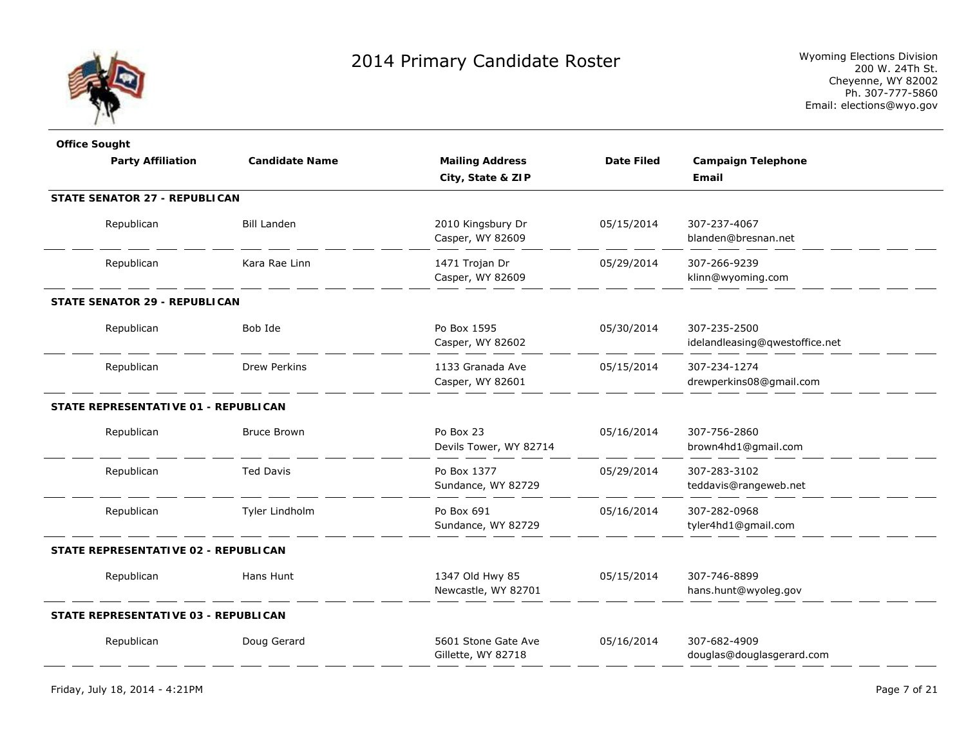

| <b>Office Sought</b>                 |                       |                                           |                   |                                                |
|--------------------------------------|-----------------------|-------------------------------------------|-------------------|------------------------------------------------|
| <b>Party Affiliation</b>             | <b>Candidate Name</b> | <b>Mailing Address</b>                    | <b>Date Filed</b> | <b>Campaign Telephone</b>                      |
|                                      |                       | City, State & ZIP                         |                   | Email                                          |
| <b>STATE SENATOR 27 - REPUBLICAN</b> |                       |                                           |                   |                                                |
| Republican                           | <b>Bill Landen</b>    | 2010 Kingsbury Dr<br>Casper, WY 82609     | 05/15/2014        | 307-237-4067<br>blanden@bresnan.net            |
| Republican                           | Kara Rae Linn         | 1471 Trojan Dr<br>Casper, WY 82609        | 05/29/2014        | 307-266-9239<br>klinn@wyoming.com              |
| <b>STATE SENATOR 29 - REPUBLICAN</b> |                       |                                           |                   |                                                |
| Republican                           | Bob Ide               | Po Box 1595<br>Casper, WY 82602           | 05/30/2014        | 307-235-2500<br>idelandleasing@qwestoffice.net |
| Republican                           | <b>Drew Perkins</b>   | 1133 Granada Ave<br>Casper, WY 82601      | 05/15/2014        | 307-234-1274<br>drewperkins08@gmail.com        |
| STATE REPRESENTATIVE 01 - REPUBLICAN |                       |                                           |                   |                                                |
| Republican                           | <b>Bruce Brown</b>    | Po Box 23<br>Devils Tower, WY 82714       | 05/16/2014        | 307-756-2860<br>brown4hd1@gmail.com            |
| Republican                           | <b>Ted Davis</b>      | Po Box 1377<br>Sundance, WY 82729         | 05/29/2014        | 307-283-3102<br>teddavis@rangeweb.net          |
| Republican                           | Tyler Lindholm        | Po Box 691<br>Sundance, WY 82729          | 05/16/2014        | 307-282-0968<br>tyler4hd1@gmail.com            |
| STATE REPRESENTATIVE 02 - REPUBLICAN |                       |                                           |                   |                                                |
| Republican                           | Hans Hunt             | 1347 Old Hwy 85<br>Newcastle, WY 82701    | 05/15/2014        | 307-746-8899<br>hans.hunt@wyoleg.gov           |
| STATE REPRESENTATIVE 03 - REPUBLICAN |                       |                                           |                   |                                                |
| Republican                           | Doug Gerard           | 5601 Stone Gate Ave<br>Gillette, WY 82718 | 05/16/2014        | 307-682-4909<br>douglas@douglasgerard.com      |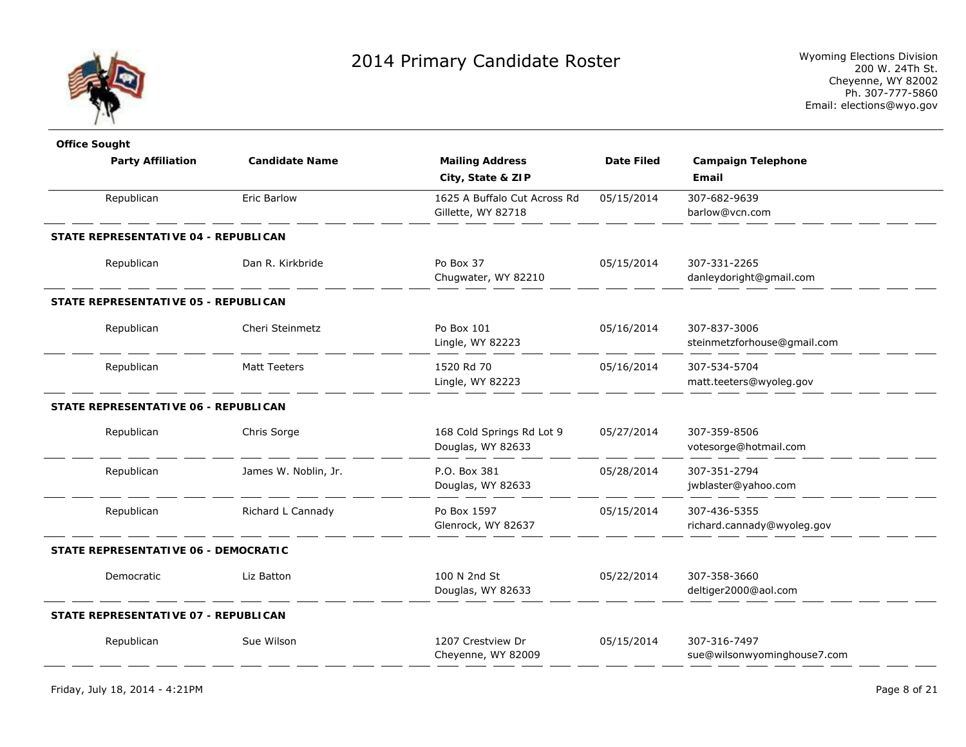

| <b>Office Sought</b>                 |                       |                                                    |                   |                                             |
|--------------------------------------|-----------------------|----------------------------------------------------|-------------------|---------------------------------------------|
| <b>Party Affiliation</b>             | <b>Candidate Name</b> | <b>Mailing Address</b>                             | <b>Date Filed</b> | <b>Campaign Telephone</b>                   |
|                                      |                       | City, State & ZIP                                  |                   | Email                                       |
| Republican                           | <b>Eric Barlow</b>    | 1625 A Buffalo Cut Across Rd<br>Gillette, WY 82718 | 05/15/2014        | 307-682-9639<br>barlow@vcn.com              |
| STATE REPRESENTATIVE 04 - REPUBLICAN |                       |                                                    |                   |                                             |
| Republican                           | Dan R. Kirkbride      | Po Box 37<br>Chugwater, WY 82210                   | 05/15/2014        | 307-331-2265<br>danleydoright@gmail.com     |
| STATE REPRESENTATIVE 05 - REPUBLICAN |                       |                                                    |                   |                                             |
| Republican                           | Cheri Steinmetz       | Po Box 101<br>Lingle, WY 82223                     | 05/16/2014        | 307-837-3006<br>steinmetzforhouse@gmail.com |
| Republican                           | <b>Matt Teeters</b>   | 1520 Rd 70<br>Lingle, WY 82223                     | 05/16/2014        | 307-534-5704<br>matt.teeters@wyoleg.gov     |
| STATE REPRESENTATIVE 06 - REPUBLICAN |                       |                                                    |                   |                                             |
| Republican                           | Chris Sorge           | 168 Cold Springs Rd Lot 9<br>Douglas, WY 82633     | 05/27/2014        | 307-359-8506<br>votesorge@hotmail.com       |
| Republican                           | James W. Noblin, Jr.  | P.O. Box 381<br>Douglas, WY 82633                  | 05/28/2014        | 307-351-2794<br>jwblaster@yahoo.com         |
| Republican                           | Richard L Cannady     | Po Box 1597<br>Glenrock, WY 82637                  | 05/15/2014        | 307-436-5355<br>richard.cannady@wyoleg.gov  |
| STATE REPRESENTATIVE 06 - DEMOCRATIC |                       |                                                    |                   |                                             |
| Democratic                           | Liz Batton            | 100 N 2nd St<br>Douglas, WY 82633                  | 05/22/2014        | 307-358-3660<br>deltiger2000@aol.com        |
| STATE REPRESENTATIVE 07 - REPUBLICAN |                       |                                                    |                   |                                             |
| Republican                           | Sue Wilson            | 1207 Crestview Dr<br>Cheyenne, WY 82009            | 05/15/2014        | 307-316-7497<br>sue@wilsonwyominghouse7.com |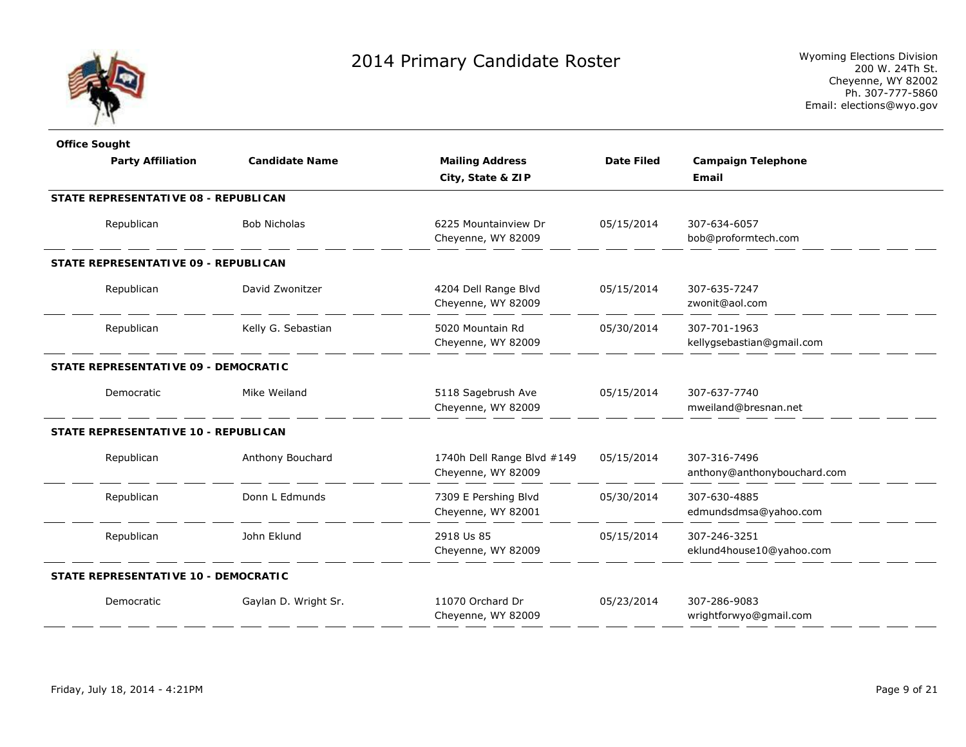

| <b>Office Sought</b>                 |                       |                                                  |                   |                                             |
|--------------------------------------|-----------------------|--------------------------------------------------|-------------------|---------------------------------------------|
| <b>Party Affiliation</b>             | <b>Candidate Name</b> | <b>Mailing Address</b>                           | <b>Date Filed</b> | <b>Campaign Telephone</b>                   |
|                                      |                       | City, State & ZIP                                |                   | Email                                       |
| STATE REPRESENTATIVE 08 - REPUBLICAN |                       |                                                  |                   |                                             |
| Republican                           | <b>Bob Nicholas</b>   | 6225 Mountainview Dr<br>Cheyenne, WY 82009       | 05/15/2014        | 307-634-6057<br>bob@proformtech.com         |
| STATE REPRESENTATIVE 09 - REPUBLICAN |                       |                                                  |                   |                                             |
| Republican                           | David Zwonitzer       | 4204 Dell Range Blvd<br>Cheyenne, WY 82009       | 05/15/2014        | 307-635-7247<br>zwonit@aol.com              |
| Republican                           | Kelly G. Sebastian    | 5020 Mountain Rd<br>Cheyenne, WY 82009           | 05/30/2014        | 307-701-1963<br>kellygsebastian@gmail.com   |
| STATE REPRESENTATIVE 09 - DEMOCRATIC |                       |                                                  |                   |                                             |
| Democratic                           | Mike Weiland          | 5118 Sagebrush Ave<br>Cheyenne, WY 82009         | 05/15/2014        | 307-637-7740<br>mweiland@bresnan.net        |
| STATE REPRESENTATIVE 10 - REPUBLICAN |                       |                                                  |                   |                                             |
| Republican                           | Anthony Bouchard      | 1740h Dell Range Blvd #149<br>Cheyenne, WY 82009 | 05/15/2014        | 307-316-7496<br>anthony@anthonybouchard.com |
| Republican                           | Donn L Edmunds        | 7309 E Pershing Blvd<br>Cheyenne, WY 82001       | 05/30/2014        | 307-630-4885<br>edmundsdmsa@yahoo.com       |
| Republican                           | John Eklund           | 2918 Us 85<br>Cheyenne, WY 82009                 | 05/15/2014        | 307-246-3251<br>eklund4house10@yahoo.com    |
| STATE REPRESENTATIVE 10 - DEMOCRATIC |                       |                                                  |                   |                                             |
| Democratic                           | Gaylan D. Wright Sr.  | 11070 Orchard Dr<br>Cheyenne, WY 82009           | 05/23/2014        | 307-286-9083<br>wrightforwyo@gmail.com      |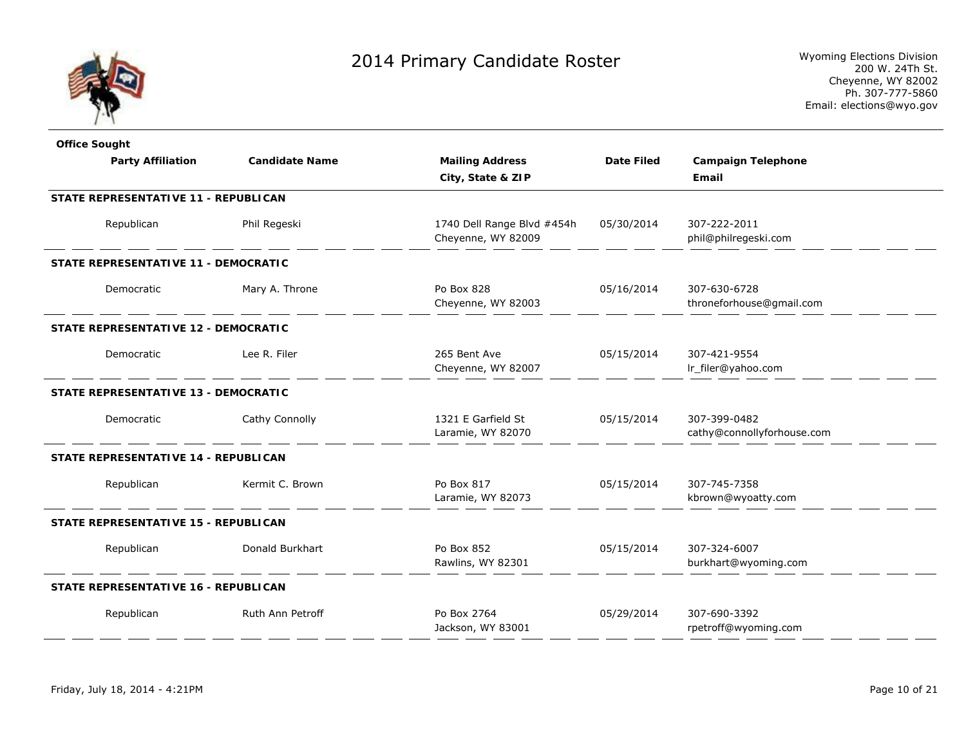

| <b>Office Sought</b>                        |                       |                            |                   |                            |
|---------------------------------------------|-----------------------|----------------------------|-------------------|----------------------------|
| <b>Party Affiliation</b>                    | <b>Candidate Name</b> | <b>Mailing Address</b>     | <b>Date Filed</b> | <b>Campaign Telephone</b>  |
|                                             |                       | City, State & ZIP          |                   | Email                      |
| <b>STATE REPRESENTATIVE 11 - REPUBLICAN</b> |                       |                            |                   |                            |
| Republican                                  | Phil Regeski          | 1740 Dell Range Blvd #454h | 05/30/2014        | 307-222-2011               |
|                                             |                       | Cheyenne, WY 82009         |                   | phil@philregeski.com       |
| STATE REPRESENTATIVE 11 - DEMOCRATIC        |                       |                            |                   |                            |
| Democratic                                  | Mary A. Throne        | Po Box 828                 | 05/16/2014        | 307-630-6728               |
|                                             |                       | Cheyenne, WY 82003         |                   | throneforhouse@gmail.com   |
| STATE REPRESENTATIVE 12 - DEMOCRATIC        |                       |                            |                   |                            |
| Democratic                                  | Lee R. Filer          | 265 Bent Ave               | 05/15/2014        | 307-421-9554               |
|                                             |                       | Cheyenne, WY 82007         |                   | Ir_filer@yahoo.com         |
| STATE REPRESENTATIVE 13 - DEMOCRATIC        |                       |                            |                   |                            |
| Democratic                                  | Cathy Connolly        | 1321 E Garfield St         | 05/15/2014        | 307-399-0482               |
|                                             |                       | Laramie, WY 82070          |                   | cathy@connollyforhouse.com |
| STATE REPRESENTATIVE 14 - REPUBLICAN        |                       |                            |                   |                            |
| Republican                                  | Kermit C. Brown       | Po Box 817                 | 05/15/2014        | 307-745-7358               |
|                                             |                       | Laramie, WY 82073          |                   | kbrown@wyoatty.com         |
| STATE REPRESENTATIVE 15 - REPUBLICAN        |                       |                            |                   |                            |
| Republican                                  | Donald Burkhart       | Po Box 852                 | 05/15/2014        | 307-324-6007               |
|                                             |                       | Rawlins, WY 82301          |                   | burkhart@wyoming.com       |
| STATE REPRESENTATIVE 16 - REPUBLICAN        |                       |                            |                   |                            |
| Republican                                  | Ruth Ann Petroff      | Po Box 2764                | 05/29/2014        | 307-690-3392               |
|                                             |                       | Jackson, WY 83001          |                   | rpetroff@wyoming.com       |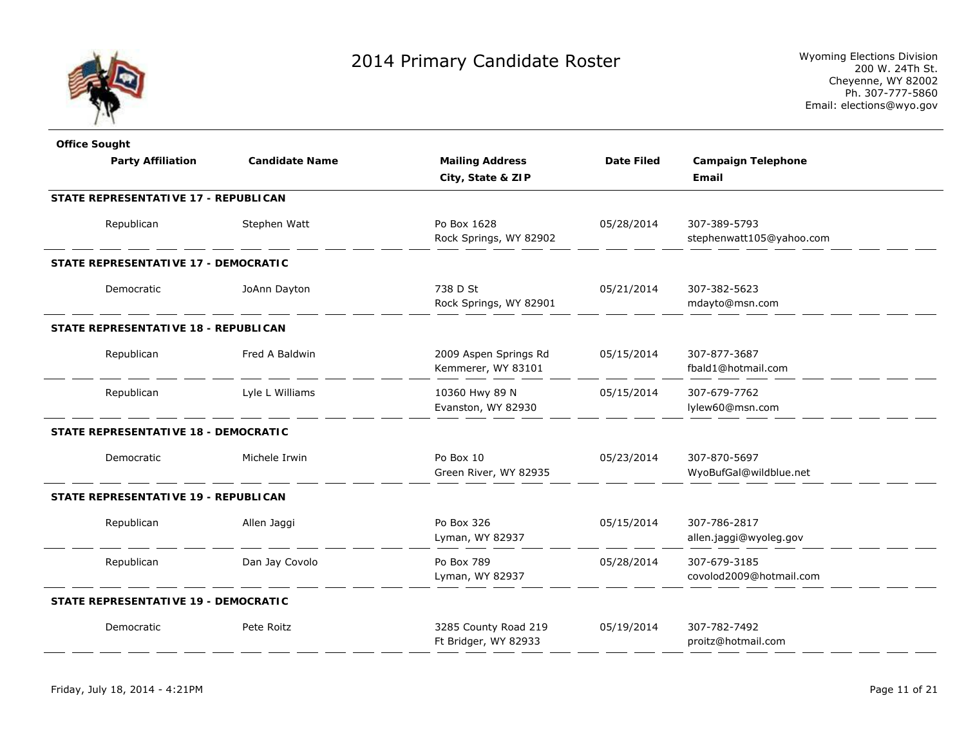

| <b>Office Sought</b>                        |                       |                                              |                   |                                          |  |
|---------------------------------------------|-----------------------|----------------------------------------------|-------------------|------------------------------------------|--|
| <b>Party Affiliation</b>                    | <b>Candidate Name</b> | <b>Mailing Address</b><br>City, State & ZIP  | <b>Date Filed</b> | <b>Campaign Telephone</b><br>Email       |  |
| STATE REPRESENTATIVE 17 - REPUBLICAN        |                       |                                              |                   |                                          |  |
| Republican                                  | Stephen Watt          | Po Box 1628<br>Rock Springs, WY 82902        | 05/28/2014        | 307-389-5793<br>stephenwatt105@yahoo.com |  |
| STATE REPRESENTATIVE 17 - DEMOCRATIC        |                       |                                              |                   |                                          |  |
| Democratic                                  | JoAnn Dayton          | 738 D St<br>Rock Springs, WY 82901           | 05/21/2014        | 307-382-5623<br>mdayto@msn.com           |  |
| <b>STATE REPRESENTATIVE 18 - REPUBLICAN</b> |                       |                                              |                   |                                          |  |
| Republican                                  | Fred A Baldwin        | 2009 Aspen Springs Rd<br>Kemmerer, WY 83101  | 05/15/2014        | 307-877-3687<br>fbald1@hotmail.com       |  |
| Republican                                  | Lyle L Williams       | 10360 Hwy 89 N<br>Evanston, WY 82930         | 05/15/2014        | 307-679-7762<br>lylew60@msn.com          |  |
| STATE REPRESENTATIVE 18 - DEMOCRATIC        |                       |                                              |                   |                                          |  |
| Democratic                                  | Michele Irwin         | Po Box 10<br>Green River, WY 82935           | 05/23/2014        | 307-870-5697<br>WyoBufGal@wildblue.net   |  |
| STATE REPRESENTATIVE 19 - REPUBLICAN        |                       |                                              |                   |                                          |  |
| Republican                                  | Allen Jaggi           | Po Box 326<br>Lyman, WY 82937                | 05/15/2014        | 307-786-2817<br>allen.jaggi@wyoleg.gov   |  |
| Republican                                  | Dan Jay Covolo        | Po Box 789<br>Lyman, WY 82937                | 05/28/2014        | 307-679-3185<br>covolod2009@hotmail.com  |  |
| STATE REPRESENTATIVE 19 - DEMOCRATIC        |                       |                                              |                   |                                          |  |
| Democratic                                  | Pete Roitz            | 3285 County Road 219<br>Ft Bridger, WY 82933 | 05/19/2014        | 307-782-7492<br>proitz@hotmail.com       |  |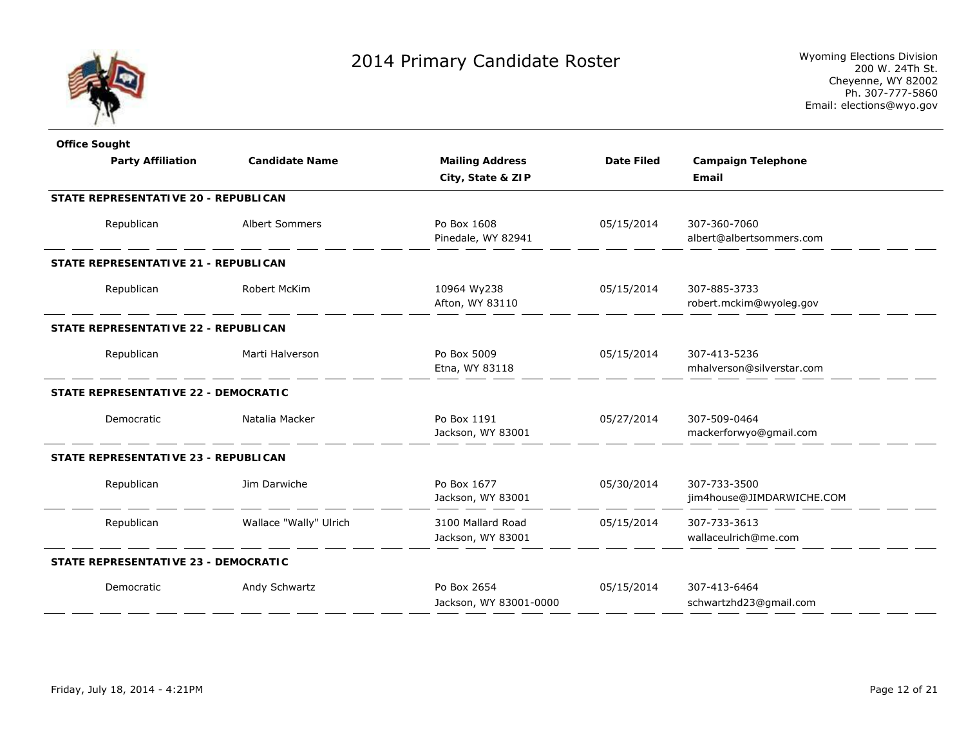

| <b>Office Sought</b>                 |                        |                                        |                   |                                           |
|--------------------------------------|------------------------|----------------------------------------|-------------------|-------------------------------------------|
| <b>Party Affiliation</b>             | <b>Candidate Name</b>  | <b>Mailing Address</b>                 | <b>Date Filed</b> | <b>Campaign Telephone</b>                 |
|                                      |                        | City, State & ZIP                      |                   | Email                                     |
| STATE REPRESENTATIVE 20 - REPUBLICAN |                        |                                        |                   |                                           |
| Republican                           | <b>Albert Sommers</b>  | Po Box 1608<br>Pinedale, WY 82941      | 05/15/2014        | 307-360-7060<br>albert@albertsommers.com  |
| STATE REPRESENTATIVE 21 - REPUBLICAN |                        |                                        |                   |                                           |
| Republican                           | Robert McKim           | 10964 Wy238<br>Afton, WY 83110         | 05/15/2014        | 307-885-3733<br>robert.mckim@wyoleg.gov   |
| STATE REPRESENTATIVE 22 - REPUBLICAN |                        |                                        |                   |                                           |
| Republican                           | Marti Halverson        | Po Box 5009<br>Etna, WY 83118          | 05/15/2014        | 307-413-5236<br>mhalverson@silverstar.com |
| STATE REPRESENTATIVE 22 - DEMOCRATIC |                        |                                        |                   |                                           |
| Democratic                           | Natalia Macker         | Po Box 1191<br>Jackson, WY 83001       | 05/27/2014        | 307-509-0464<br>mackerforwyo@gmail.com    |
| STATE REPRESENTATIVE 23 - REPUBLICAN |                        |                                        |                   |                                           |
| Republican                           | Jim Darwiche           | Po Box 1677<br>Jackson, WY 83001       | 05/30/2014        | 307-733-3500<br>jim4house@JIMDARWICHE.COM |
| Republican                           | Wallace "Wally" Ulrich | 3100 Mallard Road<br>Jackson, WY 83001 | 05/15/2014        | 307-733-3613<br>wallaceulrich@me.com      |
| STATE REPRESENTATIVE 23 - DEMOCRATIC |                        |                                        |                   |                                           |
| Democratic                           | Andy Schwartz          | Po Box 2654<br>Jackson, WY 83001-0000  | 05/15/2014        | 307-413-6464<br>schwartzhd23@gmail.com    |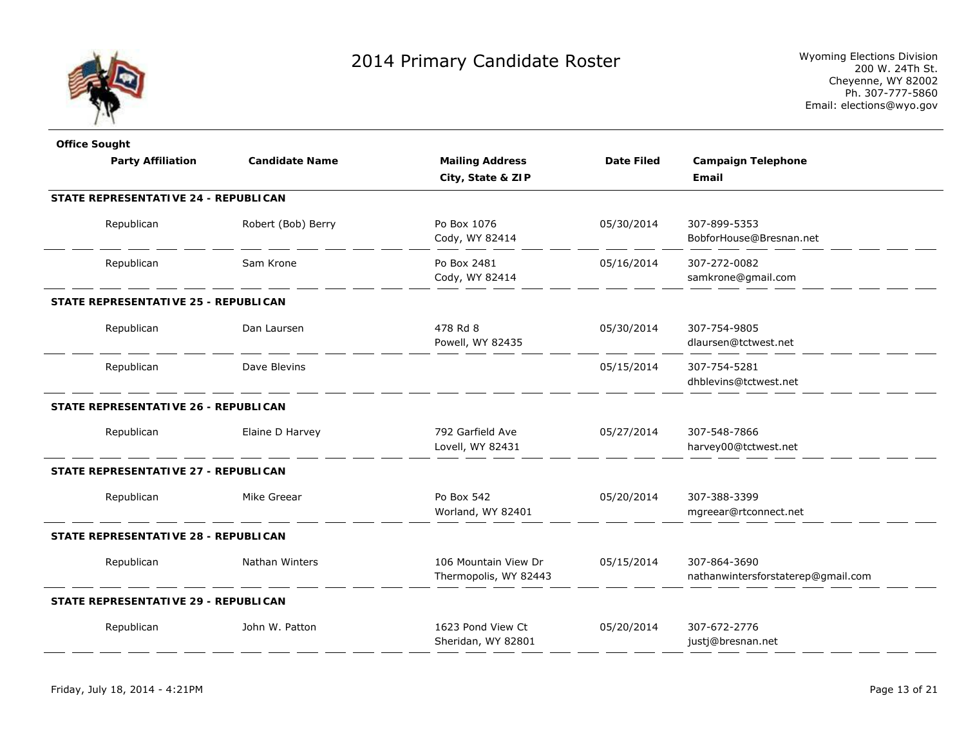

| <b>Office Sought</b>                 |                       |                        |                   |                                    |
|--------------------------------------|-----------------------|------------------------|-------------------|------------------------------------|
| <b>Party Affiliation</b>             | <b>Candidate Name</b> | <b>Mailing Address</b> | <b>Date Filed</b> | <b>Campaign Telephone</b>          |
|                                      |                       | City, State & ZIP      |                   | Email                              |
| STATE REPRESENTATIVE 24 - REPUBLICAN |                       |                        |                   |                                    |
| Republican                           | Robert (Bob) Berry    | Po Box 1076            | 05/30/2014        | 307-899-5353                       |
|                                      |                       | Cody, WY 82414         |                   | BobforHouse@Bresnan.net            |
| Republican                           | Sam Krone             | Po Box 2481            | 05/16/2014        | 307-272-0082                       |
|                                      |                       | Cody, WY 82414         |                   | samkrone@gmail.com                 |
| STATE REPRESENTATIVE 25 - REPUBLICAN |                       |                        |                   |                                    |
| Republican                           | Dan Laursen           | 478 Rd 8               | 05/30/2014        | 307-754-9805                       |
|                                      |                       | Powell, WY 82435       |                   | dlaursen@tctwest.net               |
| Republican                           | Dave Blevins          |                        | 05/15/2014        | 307-754-5281                       |
|                                      |                       |                        |                   | dhblevins@tctwest.net              |
| STATE REPRESENTATIVE 26 - REPUBLICAN |                       |                        |                   |                                    |
| Republican                           | Elaine D Harvey       | 792 Garfield Ave       | 05/27/2014        | 307-548-7866                       |
|                                      |                       | Lovell, WY 82431       |                   | harvey00@tctwest.net               |
| STATE REPRESENTATIVE 27 - REPUBLICAN |                       |                        |                   |                                    |
| Republican                           | Mike Greear           | Po Box 542             | 05/20/2014        | 307-388-3399                       |
|                                      |                       | Worland, WY 82401      |                   | mgreear@rtconnect.net              |
| STATE REPRESENTATIVE 28 - REPUBLICAN |                       |                        |                   |                                    |
| Republican                           | Nathan Winters        | 106 Mountain View Dr   | 05/15/2014        | 307-864-3690                       |
|                                      |                       | Thermopolis, WY 82443  |                   | nathanwintersforstaterep@gmail.com |
| STATE REPRESENTATIVE 29 - REPUBLICAN |                       |                        |                   |                                    |
| Republican                           | John W. Patton        | 1623 Pond View Ct      | 05/20/2014        | 307-672-2776                       |
|                                      |                       | Sheridan, WY 82801     |                   | justj@bresnan.net                  |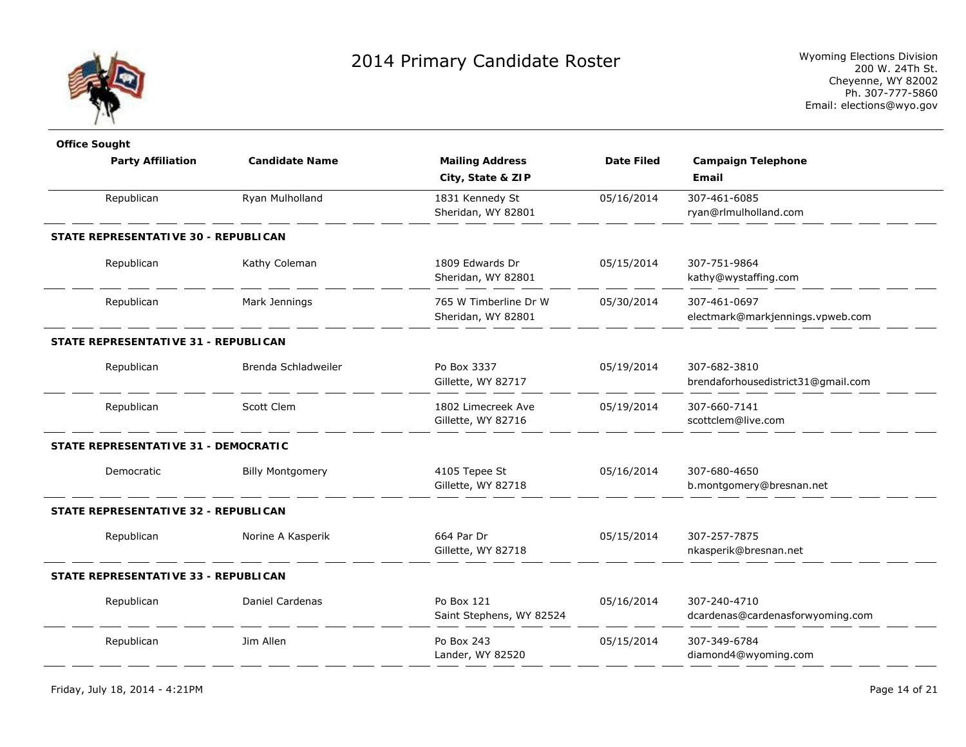

| <b>Office Sought</b>                 |                         |                          |                   |                                    |
|--------------------------------------|-------------------------|--------------------------|-------------------|------------------------------------|
| <b>Party Affiliation</b>             | <b>Candidate Name</b>   | <b>Mailing Address</b>   | <b>Date Filed</b> | <b>Campaign Telephone</b>          |
|                                      |                         | City, State & ZIP        |                   | Email                              |
| Republican                           | Ryan Mulholland         | 1831 Kennedy St          | 05/16/2014        | 307-461-6085                       |
|                                      |                         | Sheridan, WY 82801       |                   | ryan@rlmulholland.com              |
| STATE REPRESENTATIVE 30 - REPUBLICAN |                         |                          |                   |                                    |
| Republican                           | Kathy Coleman           | 1809 Edwards Dr          | 05/15/2014        | 307-751-9864                       |
|                                      |                         | Sheridan, WY 82801       |                   | kathy@wystaffing.com               |
| Republican                           | Mark Jennings           | 765 W Timberline Dr W    | 05/30/2014        | 307-461-0697                       |
|                                      |                         | Sheridan, WY 82801       |                   | electmark@markjennings.vpweb.com   |
| STATE REPRESENTATIVE 31 - REPUBLICAN |                         |                          |                   |                                    |
| Republican                           | Brenda Schladweiler     | Po Box 3337              | 05/19/2014        | 307-682-3810                       |
|                                      |                         | Gillette, WY 82717       |                   | brendaforhousedistrict31@gmail.com |
| Republican                           | Scott Clem              | 1802 Limecreek Ave       | 05/19/2014        | 307-660-7141                       |
|                                      |                         | Gillette, WY 82716       |                   | scottclem@live.com                 |
| STATE REPRESENTATIVE 31 - DEMOCRATIC |                         |                          |                   |                                    |
| Democratic                           | <b>Billy Montgomery</b> | 4105 Tepee St            | 05/16/2014        | 307-680-4650                       |
|                                      |                         | Gillette, WY 82718       |                   | b.montgomery@bresnan.net           |
| STATE REPRESENTATIVE 32 - REPUBLICAN |                         |                          |                   |                                    |
| Republican                           | Norine A Kasperik       | 664 Par Dr               | 05/15/2014        | 307-257-7875                       |
|                                      |                         | Gillette, WY 82718       |                   | nkasperik@bresnan.net              |
| STATE REPRESENTATIVE 33 - REPUBLICAN |                         |                          |                   |                                    |
| Republican                           | <b>Daniel Cardenas</b>  | Po Box 121               | 05/16/2014        | 307-240-4710                       |
|                                      |                         | Saint Stephens, WY 82524 |                   | dcardenas@cardenasforwyoming.com   |
| Republican                           | Jim Allen               | Po Box 243               | 05/15/2014        | 307-349-6784                       |
|                                      |                         | Lander, WY 82520         |                   | diamond4@wyoming.com               |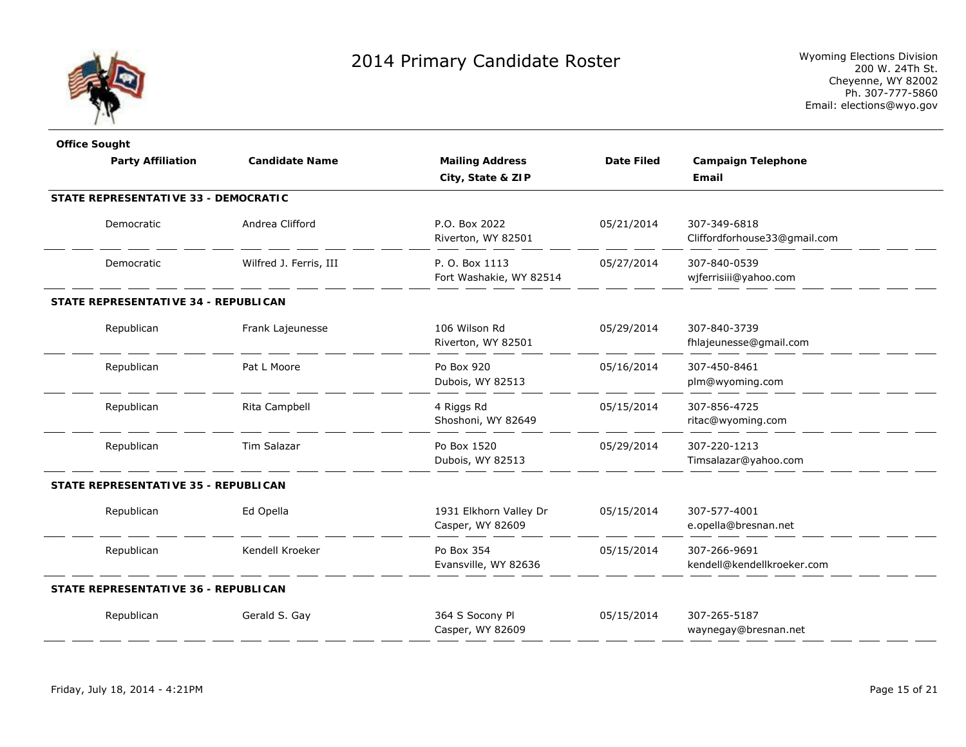

| <b>Office Sought</b>                 |                        |                                            |                   |                                              |
|--------------------------------------|------------------------|--------------------------------------------|-------------------|----------------------------------------------|
| <b>Party Affiliation</b>             | <b>Candidate Name</b>  | <b>Mailing Address</b>                     | <b>Date Filed</b> | <b>Campaign Telephone</b>                    |
|                                      |                        | City, State & ZIP                          |                   | Email                                        |
| STATE REPRESENTATIVE 33 - DEMOCRATIC |                        |                                            |                   |                                              |
| Democratic                           | Andrea Clifford        | P.O. Box 2022<br>Riverton, WY 82501        | 05/21/2014        | 307-349-6818<br>Cliffordforhouse33@gmail.com |
| Democratic                           | Wilfred J. Ferris, III | P. O. Box 1113<br>Fort Washakie, WY 82514  | 05/27/2014        | 307-840-0539<br>wjferrisiii@yahoo.com        |
| STATE REPRESENTATIVE 34 - REPUBLICAN |                        |                                            |                   |                                              |
| Republican                           | Frank Lajeunesse       | 106 Wilson Rd<br>Riverton, WY 82501        | 05/29/2014        | 307-840-3739<br>fhlajeunesse@gmail.com       |
| Republican                           | Pat L Moore            | Po Box 920<br>Dubois, WY 82513             | 05/16/2014        | 307-450-8461<br>plm@wyoming.com              |
| Republican                           | Rita Campbell          | 4 Riggs Rd<br>Shoshoni, WY 82649           | 05/15/2014        | 307-856-4725<br>ritac@wyoming.com            |
| Republican                           | Tim Salazar            | Po Box 1520<br>Dubois, WY 82513            | 05/29/2014        | 307-220-1213<br>Timsalazar@yahoo.com         |
| STATE REPRESENTATIVE 35 - REPUBLICAN |                        |                                            |                   |                                              |
| Republican                           | Ed Opella              | 1931 Elkhorn Valley Dr<br>Casper, WY 82609 | 05/15/2014        | 307-577-4001<br>e.opella@bresnan.net         |
| Republican                           | Kendell Kroeker        | Po Box 354<br>Evansville, WY 82636         | 05/15/2014        | 307-266-9691<br>kendell@kendellkroeker.com   |
| STATE REPRESENTATIVE 36 - REPUBLICAN |                        |                                            |                   |                                              |
| Republican                           | Gerald S. Gay          | 364 S Socony Pl<br>Casper, WY 82609        | 05/15/2014        | 307-265-5187<br>waynegay@bresnan.net         |
|                                      |                        |                                            |                   |                                              |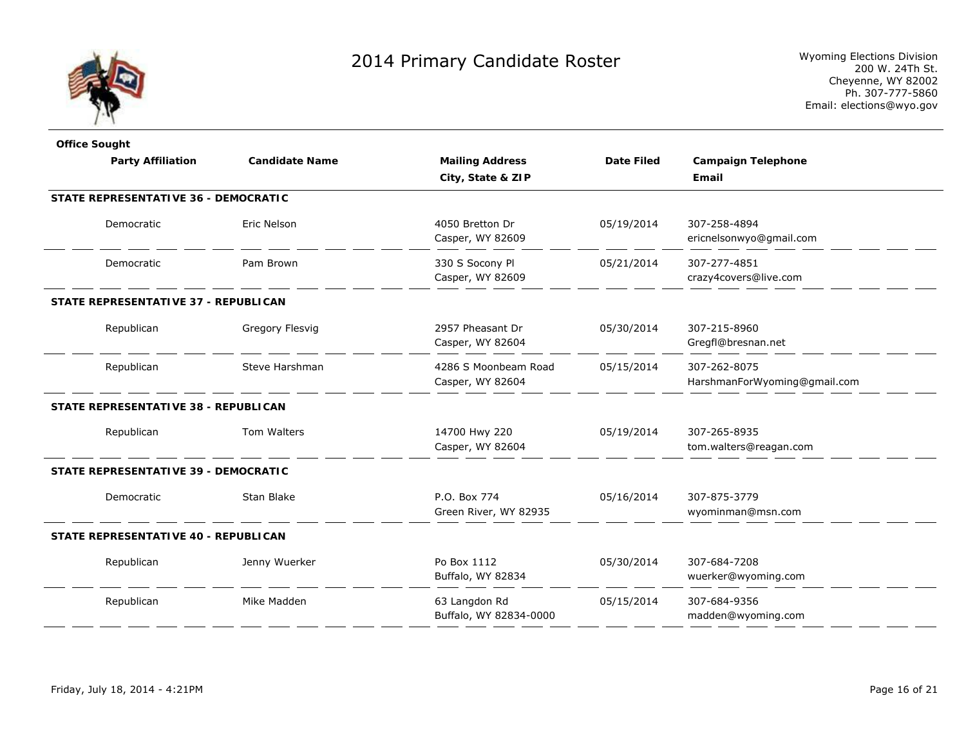

| <b>Office Sought</b>                 |                       |                                          |                   |                                              |
|--------------------------------------|-----------------------|------------------------------------------|-------------------|----------------------------------------------|
| <b>Party Affiliation</b>             | <b>Candidate Name</b> | <b>Mailing Address</b>                   | <b>Date Filed</b> | <b>Campaign Telephone</b>                    |
|                                      |                       | City, State & ZIP                        |                   | Email                                        |
| STATE REPRESENTATIVE 36 - DEMOCRATIC |                       |                                          |                   |                                              |
| Democratic                           | Eric Nelson           | 4050 Bretton Dr<br>Casper, WY 82609      | 05/19/2014        | 307-258-4894<br>ericnelsonwyo@gmail.com      |
| Democratic                           | Pam Brown             | 330 S Socony Pl<br>Casper, WY 82609      | 05/21/2014        | 307-277-4851<br>crazy4covers@live.com        |
| STATE REPRESENTATIVE 37 - REPUBLICAN |                       |                                          |                   |                                              |
| Republican                           | Gregory Flesvig       | 2957 Pheasant Dr<br>Casper, WY 82604     | 05/30/2014        | 307-215-8960<br>Gregfl@bresnan.net           |
| Republican                           | Steve Harshman        | 4286 S Moonbeam Road<br>Casper, WY 82604 | 05/15/2014        | 307-262-8075<br>HarshmanForWyoming@gmail.com |
| STATE REPRESENTATIVE 38 - REPUBLICAN |                       |                                          |                   |                                              |
| Republican                           | Tom Walters           | 14700 Hwy 220<br>Casper, WY 82604        | 05/19/2014        | 307-265-8935<br>tom.walters@reagan.com       |
| STATE REPRESENTATIVE 39 - DEMOCRATIC |                       |                                          |                   |                                              |
| Democratic                           | Stan Blake            | P.O. Box 774<br>Green River, WY 82935    | 05/16/2014        | 307-875-3779<br>wyominman@msn.com            |
| STATE REPRESENTATIVE 40 - REPUBLICAN |                       |                                          |                   |                                              |
| Republican                           | Jenny Wuerker         | Po Box 1112<br>Buffalo, WY 82834         | 05/30/2014        | 307-684-7208<br>wuerker@wyoming.com          |
| Republican                           | Mike Madden           | 63 Langdon Rd<br>Buffalo, WY 82834-0000  | 05/15/2014        | 307-684-9356<br>madden@wyoming.com           |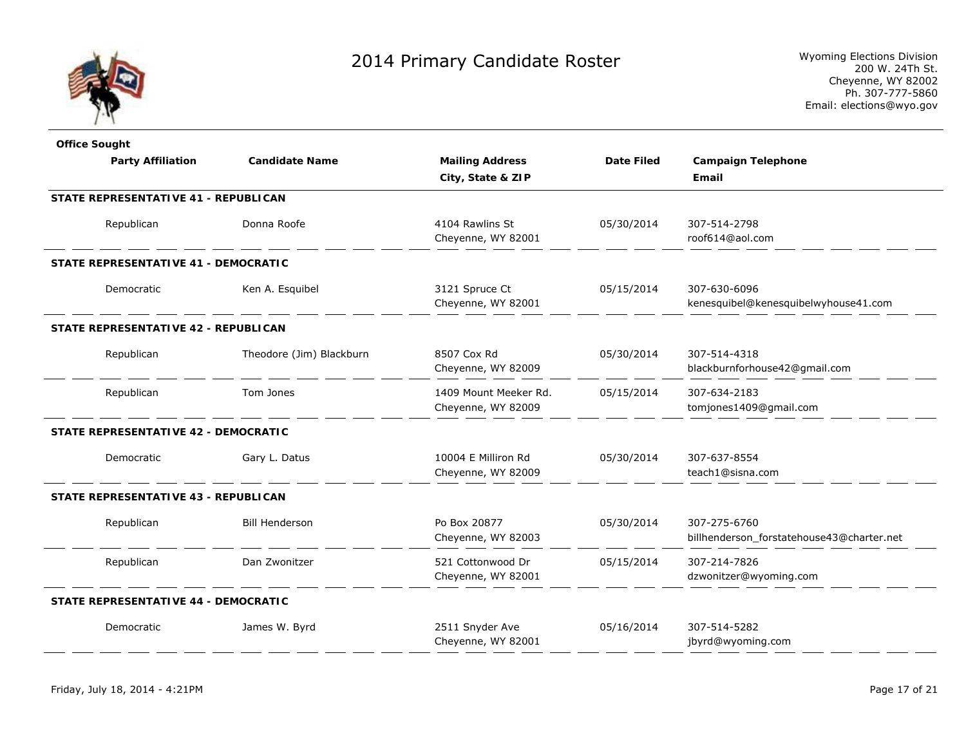

| <b>Office Sought</b> |                                             |                          |                        |                   |                                           |
|----------------------|---------------------------------------------|--------------------------|------------------------|-------------------|-------------------------------------------|
|                      | <b>Party Affiliation</b>                    | <b>Candidate Name</b>    | <b>Mailing Address</b> | <b>Date Filed</b> | <b>Campaign Telephone</b>                 |
|                      |                                             |                          | City, State & ZIP      |                   | Email                                     |
|                      | STATE REPRESENTATIVE 41 - REPUBLICAN        |                          |                        |                   |                                           |
|                      | Republican                                  | Donna Roofe              | 4104 Rawlins St        | 05/30/2014        | 307-514-2798                              |
|                      |                                             |                          | Cheyenne, WY 82001     |                   | roof614@aol.com                           |
|                      | STATE REPRESENTATIVE 41 - DEMOCRATIC        |                          |                        |                   |                                           |
|                      | Democratic                                  | Ken A. Esquibel          | 3121 Spruce Ct         | 05/15/2014        | 307-630-6096                              |
|                      |                                             |                          | Cheyenne, WY 82001     |                   | kenesquibel@kenesquibelwyhouse41.com      |
|                      | STATE REPRESENTATIVE 42 - REPUBLICAN        |                          |                        |                   |                                           |
|                      | Republican                                  | Theodore (Jim) Blackburn | 8507 Cox Rd            | 05/30/2014        | 307-514-4318                              |
|                      |                                             |                          | Cheyenne, WY 82009     |                   | blackburnforhouse42@gmail.com             |
|                      | Republican                                  | Tom Jones                | 1409 Mount Meeker Rd.  | 05/15/2014        | 307-634-2183                              |
|                      |                                             |                          | Cheyenne, WY 82009     |                   | tomjones1409@gmail.com                    |
|                      | <b>STATE REPRESENTATIVE 42 - DEMOCRATIC</b> |                          |                        |                   |                                           |
|                      | Democratic                                  | Gary L. Datus            | 10004 E Milliron Rd    | 05/30/2014        | 307-637-8554                              |
|                      |                                             |                          | Cheyenne, WY 82009     |                   | teach1@sisna.com                          |
|                      | STATE REPRESENTATIVE 43 - REPUBLICAN        |                          |                        |                   |                                           |
|                      | Republican                                  | <b>Bill Henderson</b>    | Po Box 20877           | 05/30/2014        | 307-275-6760                              |
|                      |                                             |                          | Cheyenne, WY 82003     |                   | billhenderson forstatehouse43@charter.net |
|                      | Republican                                  | Dan Zwonitzer            | 521 Cottonwood Dr      | 05/15/2014        | 307-214-7826                              |
|                      |                                             |                          | Cheyenne, WY 82001     |                   | dzwonitzer@wyoming.com                    |
|                      | STATE REPRESENTATIVE 44 - DEMOCRATIC        |                          |                        |                   |                                           |
|                      | Democratic                                  | James W. Byrd            | 2511 Snyder Ave        | 05/16/2014        | 307-514-5282                              |
|                      |                                             |                          | Cheyenne, WY 82001     |                   | jbyrd@wyoming.com                         |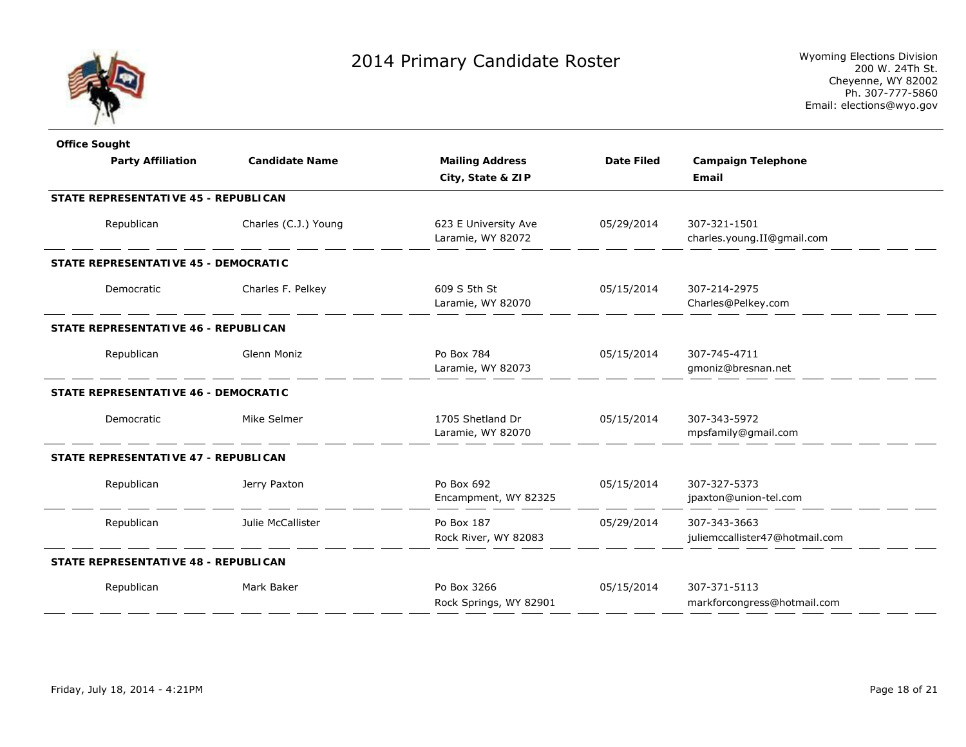

| <b>Office Sought</b>                        |                       |                                           |                   |                                                |
|---------------------------------------------|-----------------------|-------------------------------------------|-------------------|------------------------------------------------|
| <b>Party Affiliation</b>                    | <b>Candidate Name</b> | <b>Mailing Address</b>                    | <b>Date Filed</b> | <b>Campaign Telephone</b>                      |
|                                             |                       | City, State & ZIP                         |                   | Email                                          |
| <b>STATE REPRESENTATIVE 45 - REPUBLICAN</b> |                       |                                           |                   |                                                |
| Republican                                  | Charles (C.J.) Young  | 623 E University Ave<br>Laramie, WY 82072 | 05/29/2014        | 307-321-1501<br>charles.young.II@gmail.com     |
| STATE REPRESENTATIVE 45 - DEMOCRATIC        |                       |                                           |                   |                                                |
| Democratic                                  | Charles F. Pelkey     | 609 S 5th St<br>Laramie, WY 82070         | 05/15/2014        | 307-214-2975<br>Charles@Pelkey.com             |
| STATE REPRESENTATIVE 46 - REPUBLICAN        |                       |                                           |                   |                                                |
| Republican                                  | Glenn Moniz           | Po Box 784<br>Laramie, WY 82073           | 05/15/2014        | 307-745-4711<br>gmoniz@bresnan.net             |
| STATE REPRESENTATIVE 46 - DEMOCRATIC        |                       |                                           |                   |                                                |
| Democratic                                  | Mike Selmer           | 1705 Shetland Dr<br>Laramie, WY 82070     | 05/15/2014        | 307-343-5972<br>mpsfamily@gmail.com            |
| STATE REPRESENTATIVE 47 - REPUBLICAN        |                       |                                           |                   |                                                |
| Republican                                  | Jerry Paxton          | Po Box 692<br>Encampment, WY 82325        | 05/15/2014        | 307-327-5373<br>jpaxton@union-tel.com          |
| Republican                                  | Julie McCallister     | Po Box 187<br>Rock River, WY 82083        | 05/29/2014        | 307-343-3663<br>juliemccallister47@hotmail.com |
| <b>STATE REPRESENTATIVE 48 - REPUBLICAN</b> |                       |                                           |                   |                                                |
| Republican                                  | Mark Baker            | Po Box 3266<br>Rock Springs, WY 82901     | 05/15/2014        | 307-371-5113<br>markforcongress@hotmail.com    |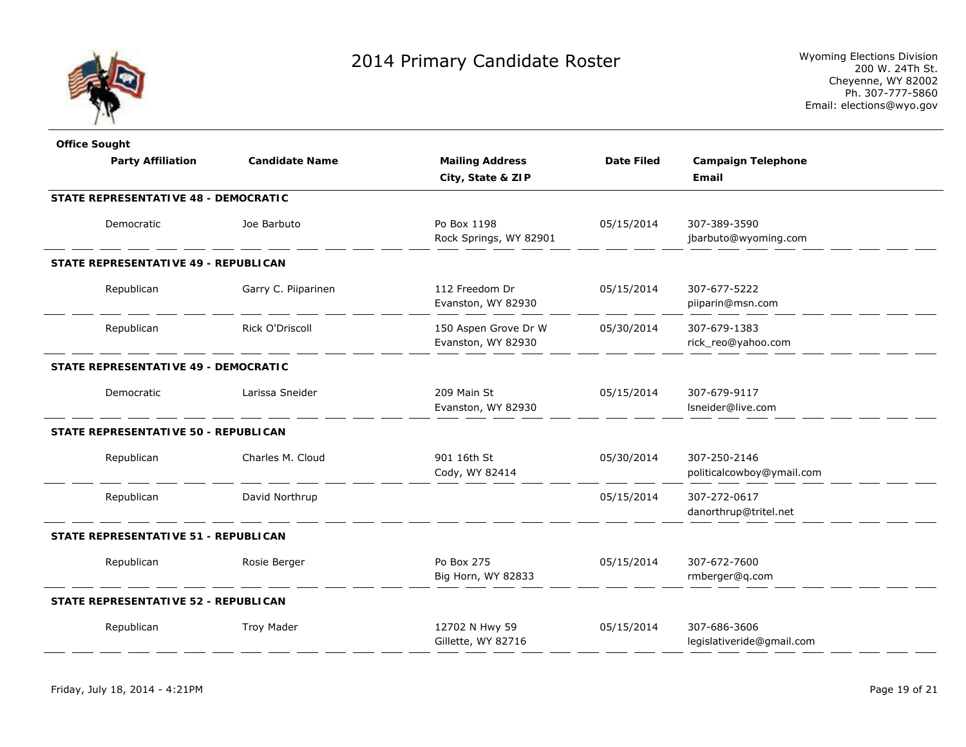

| <b>Office Sought</b>                        |                       |                        |                   |                           |
|---------------------------------------------|-----------------------|------------------------|-------------------|---------------------------|
| <b>Party Affiliation</b>                    | <b>Candidate Name</b> | <b>Mailing Address</b> | <b>Date Filed</b> | <b>Campaign Telephone</b> |
|                                             |                       | City, State & ZIP      |                   | Email                     |
| STATE REPRESENTATIVE 48 - DEMOCRATIC        |                       |                        |                   |                           |
| Democratic                                  | Joe Barbuto           | Po Box 1198            | 05/15/2014        | 307-389-3590              |
|                                             |                       | Rock Springs, WY 82901 |                   | jbarbuto@wyoming.com      |
| STATE REPRESENTATIVE 49 - REPUBLICAN        |                       |                        |                   |                           |
| Republican                                  | Garry C. Piiparinen   | 112 Freedom Dr         | 05/15/2014        | 307-677-5222              |
|                                             |                       | Evanston, WY 82930     |                   | piiparin@msn.com          |
| Republican                                  | Rick O'Driscoll       | 150 Aspen Grove Dr W   | 05/30/2014        | 307-679-1383              |
|                                             |                       | Evanston, WY 82930     |                   | rick_reo@yahoo.com        |
| <b>STATE REPRESENTATIVE 49 - DEMOCRATIC</b> |                       |                        |                   |                           |
| Democratic                                  | Larissa Sneider       | 209 Main St            | 05/15/2014        | 307-679-9117              |
|                                             |                       | Evanston, WY 82930     |                   | Isneider@live.com         |
| STATE REPRESENTATIVE 50 - REPUBLICAN        |                       |                        |                   |                           |
| Republican                                  | Charles M. Cloud      | 901 16th St            | 05/30/2014        | 307-250-2146              |
|                                             |                       | Cody, WY 82414         |                   | politicalcowboy@ymail.com |
| Republican                                  | David Northrup        |                        | 05/15/2014        | 307-272-0617              |
|                                             |                       |                        |                   | danorthrup@tritel.net     |
| STATE REPRESENTATIVE 51 - REPUBLICAN        |                       |                        |                   |                           |
| Republican                                  | Rosie Berger          | Po Box 275             | 05/15/2014        | 307-672-7600              |
|                                             |                       | Big Horn, WY 82833     |                   | rmberger@q.com            |
| STATE REPRESENTATIVE 52 - REPUBLICAN        |                       |                        |                   |                           |
| Republican                                  | <b>Troy Mader</b>     | 12702 N Hwy 59         | 05/15/2014        | 307-686-3606              |
|                                             |                       | Gillette, WY 82716     |                   | legislativeride@gmail.com |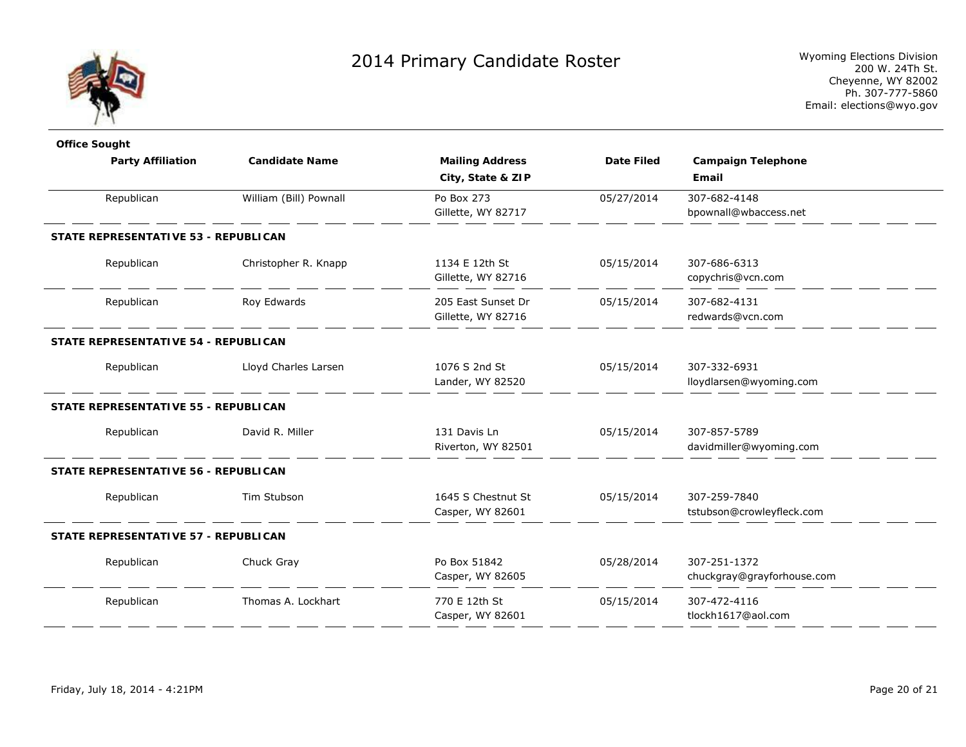

| <b>Office Sought</b>                 |                        |                        |                   |                            |  |
|--------------------------------------|------------------------|------------------------|-------------------|----------------------------|--|
| <b>Party Affiliation</b>             | <b>Candidate Name</b>  | <b>Mailing Address</b> | <b>Date Filed</b> | <b>Campaign Telephone</b>  |  |
|                                      |                        | City, State & ZIP      |                   | Email                      |  |
| Republican                           | William (Bill) Pownall | Po Box 273             | 05/27/2014        | 307-682-4148               |  |
|                                      |                        | Gillette, WY 82717     |                   | bpownall@wbaccess.net      |  |
| STATE REPRESENTATIVE 53 - REPUBLICAN |                        |                        |                   |                            |  |
| Republican                           | Christopher R. Knapp   | 1134 E 12th St         | 05/15/2014        | 307-686-6313               |  |
|                                      |                        | Gillette, WY 82716     |                   | copychris@vcn.com          |  |
| Republican                           | Roy Edwards            | 205 East Sunset Dr     | 05/15/2014        | 307-682-4131               |  |
|                                      |                        | Gillette, WY 82716     |                   | redwards@vcn.com           |  |
| STATE REPRESENTATIVE 54 - REPUBLICAN |                        |                        |                   |                            |  |
| Republican                           | Lloyd Charles Larsen   | 1076 S 2nd St          | 05/15/2014        | 307-332-6931               |  |
|                                      |                        | Lander, WY 82520       |                   | lloydlarsen@wyoming.com    |  |
| STATE REPRESENTATIVE 55 - REPUBLICAN |                        |                        |                   |                            |  |
| Republican                           | David R. Miller        | 131 Davis Ln           | 05/15/2014        | 307-857-5789               |  |
|                                      |                        | Riverton, WY 82501     |                   | davidmiller@wyoming.com    |  |
| STATE REPRESENTATIVE 56 - REPUBLICAN |                        |                        |                   |                            |  |
| Republican                           | Tim Stubson            | 1645 S Chestnut St     | 05/15/2014        | 307-259-7840               |  |
|                                      |                        | Casper, WY 82601       |                   | tstubson@crowleyfleck.com  |  |
| STATE REPRESENTATIVE 57 - REPUBLICAN |                        |                        |                   |                            |  |
| Republican                           | Chuck Gray             | Po Box 51842           | 05/28/2014        | 307-251-1372               |  |
|                                      |                        | Casper, WY 82605       |                   | chuckgray@grayforhouse.com |  |
| Republican                           | Thomas A. Lockhart     | 770 E 12th St          | 05/15/2014        | 307-472-4116               |  |
|                                      |                        | Casper, WY 82601       |                   | tlockh1617@aol.com         |  |